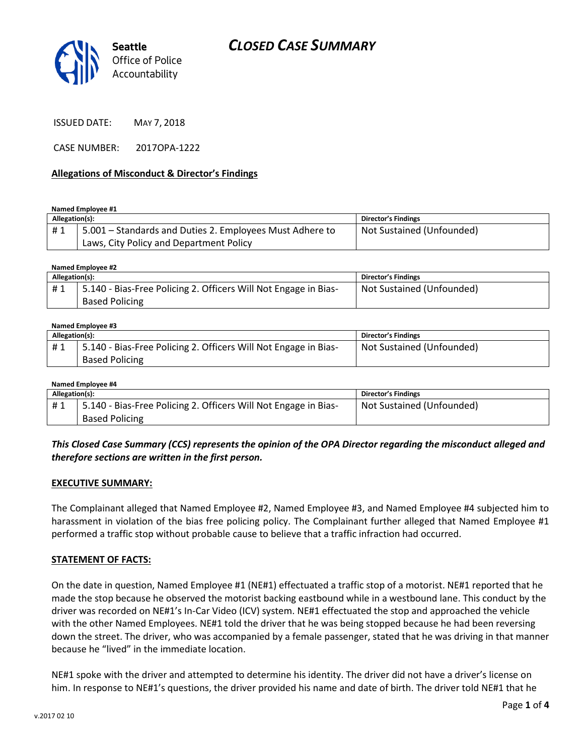

ISSUED DATE: MAY 7, 2018

CASE NUMBER: 2017OPA-1222

### **Allegations of Misconduct & Director's Findings**

**Named Employee #1**

| Allegation(s): |                                                          | Director's Findings       |
|----------------|----------------------------------------------------------|---------------------------|
| #1             | 5.001 – Standards and Duties 2. Employees Must Adhere to | Not Sustained (Unfounded) |
|                | Laws, City Policy and Department Policy                  |                           |

| Named Employee #2 |                                                                 |                           |  |  |  |
|-------------------|-----------------------------------------------------------------|---------------------------|--|--|--|
| Allegation(s):    |                                                                 | Director's Findings       |  |  |  |
| #1                | 5.140 - Bias-Free Policing 2. Officers Will Not Engage in Bias- | Not Sustained (Unfounded) |  |  |  |
|                   | <b>Based Policing</b>                                           |                           |  |  |  |

#### **Named Employee #3**

| Allegation(s): |                                                                                          | Director's Findings       |
|----------------|------------------------------------------------------------------------------------------|---------------------------|
| #1             | 5.140 - Bias-Free Policing 2. Officers Will Not Engage in Bias-<br><b>Based Policing</b> | Not Sustained (Unfounded) |

#### **Named Employee #4**

| Allegation(s): |                                                                 | Director's Findings       |
|----------------|-----------------------------------------------------------------|---------------------------|
| #1             | 5.140 - Bias-Free Policing 2. Officers Will Not Engage in Bias- | Not Sustained (Unfounded) |
|                | <b>Based Policing</b>                                           |                           |

*This Closed Case Summary (CCS) represents the opinion of the OPA Director regarding the misconduct alleged and therefore sections are written in the first person.* 

### **EXECUTIVE SUMMARY:**

The Complainant alleged that Named Employee #2, Named Employee #3, and Named Employee #4 subjected him to harassment in violation of the bias free policing policy. The Complainant further alleged that Named Employee #1 performed a traffic stop without probable cause to believe that a traffic infraction had occurred.

### **STATEMENT OF FACTS:**

On the date in question, Named Employee #1 (NE#1) effectuated a traffic stop of a motorist. NE#1 reported that he made the stop because he observed the motorist backing eastbound while in a westbound lane. This conduct by the driver was recorded on NE#1's In-Car Video (ICV) system. NE#1 effectuated the stop and approached the vehicle with the other Named Employees. NE#1 told the driver that he was being stopped because he had been reversing down the street. The driver, who was accompanied by a female passenger, stated that he was driving in that manner because he "lived" in the immediate location.

NE#1 spoke with the driver and attempted to determine his identity. The driver did not have a driver's license on him. In response to NE#1's questions, the driver provided his name and date of birth. The driver told NE#1 that he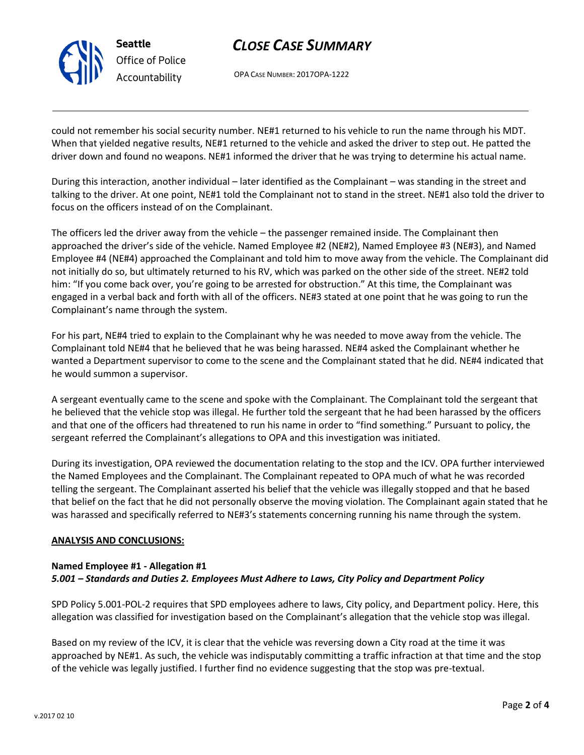

# *CLOSE CASE SUMMARY*

OPA CASE NUMBER: 2017OPA-1222

could not remember his social security number. NE#1 returned to his vehicle to run the name through his MDT. When that yielded negative results, NE#1 returned to the vehicle and asked the driver to step out. He patted the driver down and found no weapons. NE#1 informed the driver that he was trying to determine his actual name.

During this interaction, another individual – later identified as the Complainant – was standing in the street and talking to the driver. At one point, NE#1 told the Complainant not to stand in the street. NE#1 also told the driver to focus on the officers instead of on the Complainant.

The officers led the driver away from the vehicle – the passenger remained inside. The Complainant then approached the driver's side of the vehicle. Named Employee #2 (NE#2), Named Employee #3 (NE#3), and Named Employee #4 (NE#4) approached the Complainant and told him to move away from the vehicle. The Complainant did not initially do so, but ultimately returned to his RV, which was parked on the other side of the street. NE#2 told him: "If you come back over, you're going to be arrested for obstruction." At this time, the Complainant was engaged in a verbal back and forth with all of the officers. NE#3 stated at one point that he was going to run the Complainant's name through the system.

For his part, NE#4 tried to explain to the Complainant why he was needed to move away from the vehicle. The Complainant told NE#4 that he believed that he was being harassed. NE#4 asked the Complainant whether he wanted a Department supervisor to come to the scene and the Complainant stated that he did. NE#4 indicated that he would summon a supervisor.

A sergeant eventually came to the scene and spoke with the Complainant. The Complainant told the sergeant that he believed that the vehicle stop was illegal. He further told the sergeant that he had been harassed by the officers and that one of the officers had threatened to run his name in order to "find something." Pursuant to policy, the sergeant referred the Complainant's allegations to OPA and this investigation was initiated.

During its investigation, OPA reviewed the documentation relating to the stop and the ICV. OPA further interviewed the Named Employees and the Complainant. The Complainant repeated to OPA much of what he was recorded telling the sergeant. The Complainant asserted his belief that the vehicle was illegally stopped and that he based that belief on the fact that he did not personally observe the moving violation. The Complainant again stated that he was harassed and specifically referred to NE#3's statements concerning running his name through the system.

### **ANALYSIS AND CONCLUSIONS:**

# **Named Employee #1 - Allegation #1**

### *5.001 – Standards and Duties 2. Employees Must Adhere to Laws, City Policy and Department Policy*

SPD Policy 5.001-POL-2 requires that SPD employees adhere to laws, City policy, and Department policy. Here, this allegation was classified for investigation based on the Complainant's allegation that the vehicle stop was illegal.

Based on my review of the ICV, it is clear that the vehicle was reversing down a City road at the time it was approached by NE#1. As such, the vehicle was indisputably committing a traffic infraction at that time and the stop of the vehicle was legally justified. I further find no evidence suggesting that the stop was pre-textual.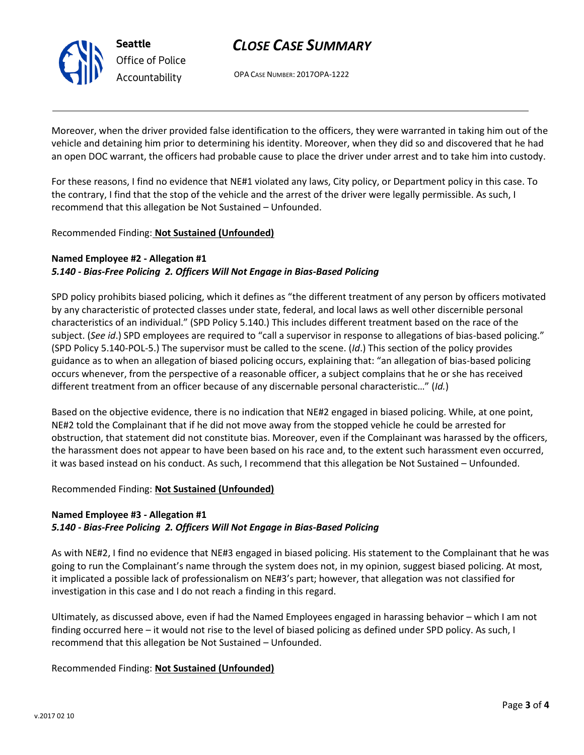

# *CLOSE CASE SUMMARY*

OPA CASE NUMBER: 2017OPA-1222

Moreover, when the driver provided false identification to the officers, they were warranted in taking him out of the vehicle and detaining him prior to determining his identity. Moreover, when they did so and discovered that he had an open DOC warrant, the officers had probable cause to place the driver under arrest and to take him into custody.

For these reasons, I find no evidence that NE#1 violated any laws, City policy, or Department policy in this case. To the contrary, I find that the stop of the vehicle and the arrest of the driver were legally permissible. As such, I recommend that this allegation be Not Sustained – Unfounded.

### Recommended Finding: **Not Sustained (Unfounded)**

# **Named Employee #2 - Allegation #1**

## *5.140 - Bias-Free Policing 2. Officers Will Not Engage in Bias-Based Policing*

SPD policy prohibits biased policing, which it defines as "the different treatment of any person by officers motivated by any characteristic of protected classes under state, federal, and local laws as well other discernible personal characteristics of an individual." (SPD Policy 5.140.) This includes different treatment based on the race of the subject. (*See id*.) SPD employees are required to "call a supervisor in response to allegations of bias-based policing." (SPD Policy 5.140-POL-5.) The supervisor must be called to the scene. (*Id*.) This section of the policy provides guidance as to when an allegation of biased policing occurs, explaining that: "an allegation of bias-based policing occurs whenever, from the perspective of a reasonable officer, a subject complains that he or she has received different treatment from an officer because of any discernable personal characteristic…" (*Id.*)

Based on the objective evidence, there is no indication that NE#2 engaged in biased policing. While, at one point, NE#2 told the Complainant that if he did not move away from the stopped vehicle he could be arrested for obstruction, that statement did not constitute bias. Moreover, even if the Complainant was harassed by the officers, the harassment does not appear to have been based on his race and, to the extent such harassment even occurred, it was based instead on his conduct. As such, I recommend that this allegation be Not Sustained – Unfounded.

### Recommended Finding: **Not Sustained (Unfounded)**

### **Named Employee #3 - Allegation #1** *5.140 - Bias-Free Policing 2. Officers Will Not Engage in Bias-Based Policing*

As with NE#2, I find no evidence that NE#3 engaged in biased policing. His statement to the Complainant that he was going to run the Complainant's name through the system does not, in my opinion, suggest biased policing. At most, it implicated a possible lack of professionalism on NE#3's part; however, that allegation was not classified for investigation in this case and I do not reach a finding in this regard.

Ultimately, as discussed above, even if had the Named Employees engaged in harassing behavior – which I am not finding occurred here – it would not rise to the level of biased policing as defined under SPD policy. As such, I recommend that this allegation be Not Sustained – Unfounded.

## Recommended Finding: **Not Sustained (Unfounded)**